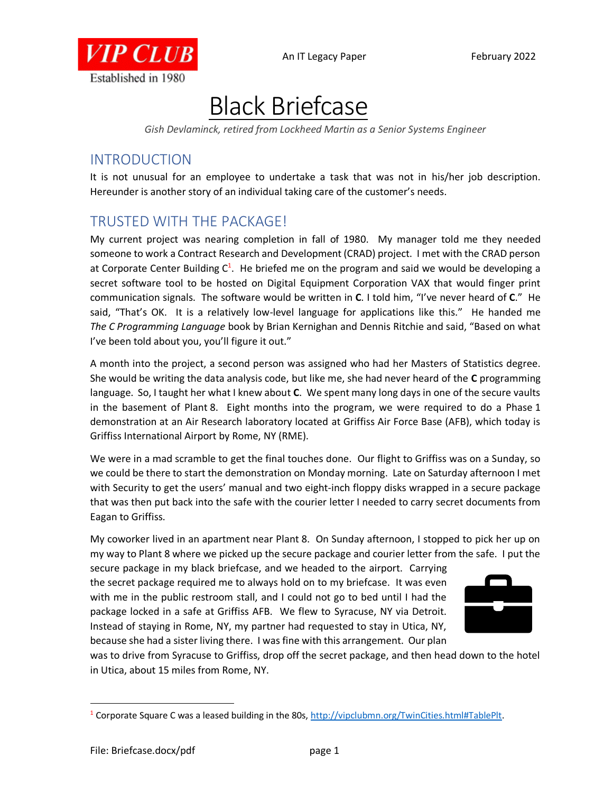

## Black Briefcase

*Gish Devlaminck, retired from Lockheed Martin as a Senior Systems Engineer*

## INTRODUCTION

It is not unusual for an employee to undertake a task that was not in his/her job description. Hereunder is another story of an individual taking care of the customer's needs.

## TRUSTED WITH THE PACKAGE!

My current project was nearing completion in fall of 1980. My manager told me they needed someone to work a Contract Research and Development (CRAD) project. I met with the CRAD person at Corporate Center Building  $C^1$ . He briefed me on the program and said we would be developing a secret software tool to be hosted on Digital Equipment Corporation VAX that would finger print communication signals. The software would be written in **C**. I told him, "I've never heard of **C**." He said, "That's OK. It is a relatively low-level language for applications like this." He handed me *The C Programming Language* book by Brian Kernighan and Dennis Ritchie and said, "Based on what I've been told about you, you'll figure it out."

A month into the project, a second person was assigned who had her Masters of Statistics degree. She would be writing the data analysis code, but like me, she had never heard of the **C** programming language. So, I taught her what I knew about **C**. We spent many long days in one of the secure vaults in the basement of Plant 8. Eight months into the program, we were required to do a Phase 1 demonstration at an Air Research laboratory located at Griffiss Air Force Base (AFB), which today is Griffiss International Airport by Rome, NY (RME).

We were in a mad scramble to get the final touches done. Our flight to Griffiss was on a Sunday, so we could be there to start the demonstration on Monday morning. Late on Saturday afternoon I met with Security to get the users' manual and two eight-inch floppy disks wrapped in a secure package that was then put back into the safe with the courier letter I needed to carry secret documents from Eagan to Griffiss.

My coworker lived in an apartment near Plant 8. On Sunday afternoon, I stopped to pick her up on my way to Plant 8 where we picked up the secure package and courier letter from the safe. I put the

secure package in my black briefcase, and we headed to the airport. Carrying the secret package required me to always hold on to my briefcase. It was even with me in the public restroom stall, and I could not go to bed until I had the package locked in a safe at Griffiss AFB. We flew to Syracuse, NY via Detroit. Instead of staying in Rome, NY, my partner had requested to stay in Utica, NY, because she had a sister living there. I was fine with this arrangement. Our plan



was to drive from Syracuse to Griffiss, drop off the secret package, and then head down to the hotel in Utica, about 15 miles from Rome, NY.

<sup>&</sup>lt;sup>1</sup> Corporate Square C was a leased building in the 80s, [http://vipclubmn.org/TwinCities.html#TablePlt.](http://vipclubmn.org/TwinCities.html#TablePlt)